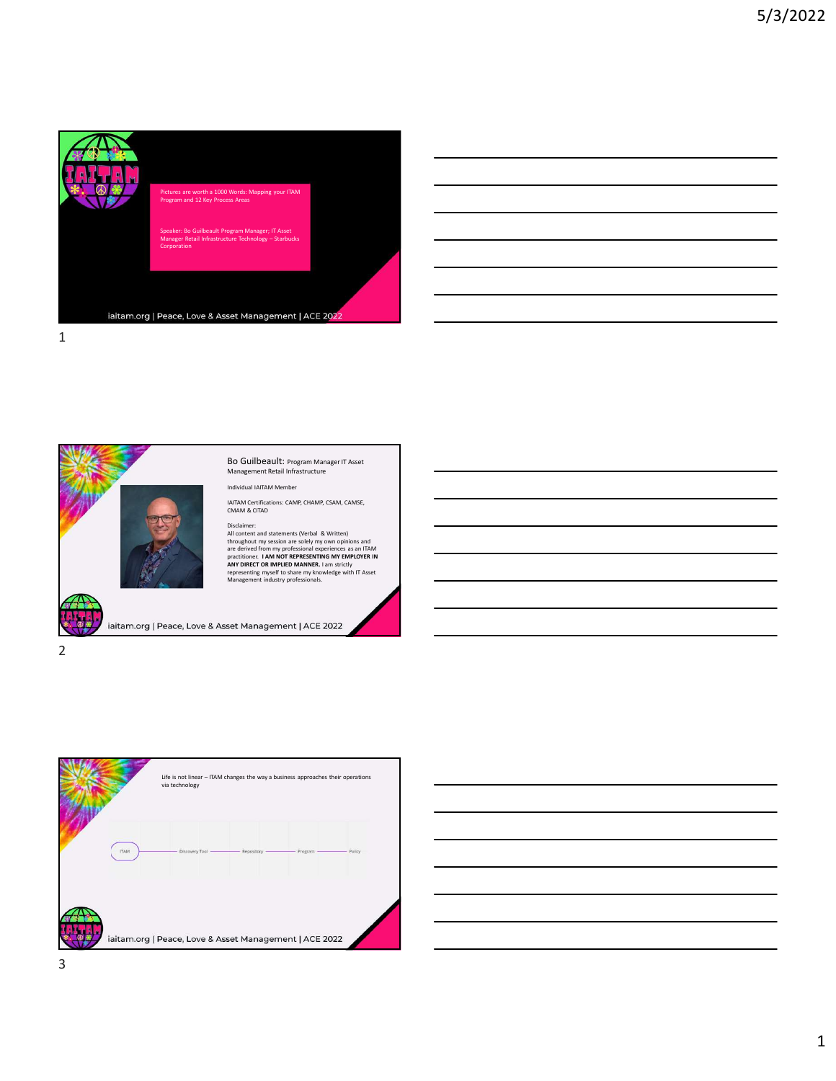

|                                                                                                                       |  | <u> 1989 - Andrea Andrew Maria (h. 1989).</u>                                                                        |
|-----------------------------------------------------------------------------------------------------------------------|--|----------------------------------------------------------------------------------------------------------------------|
|                                                                                                                       |  |                                                                                                                      |
|                                                                                                                       |  | <u> 1989 - Andrea Andrew Maria (h. 1989).</u>                                                                        |
|                                                                                                                       |  | <u> 1989 - Johann Barn, amerikan bernama di sebagai bernama dan bernama di sebagai bernama di sebagai bernama di</u> |
|                                                                                                                       |  | <u> 1989 - Andrea Andrew Maria (h. 1989).</u>                                                                        |
| <u> 1989 - Johann Stoff, deutscher Stoff, der Stoff, der Stoff, der Stoff, der Stoff, der Stoff, der Stoff, der S</u> |  |                                                                                                                      |
|                                                                                                                       |  | <u> 1989 - Andrea Santa Andrea Andrea Andrea Andrea Andrea Andrea Andrea Andrea Andrea Andrea Andrea Andrea Andr</u> |
|                                                                                                                       |  |                                                                                                                      |







3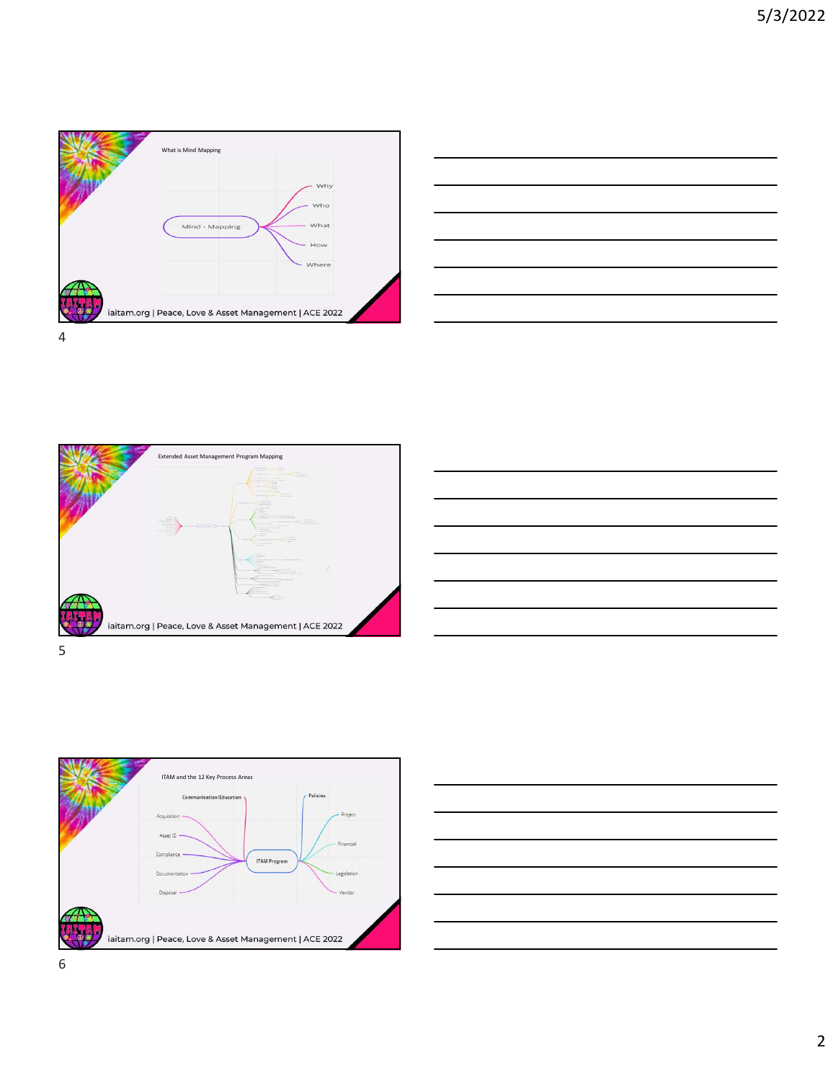









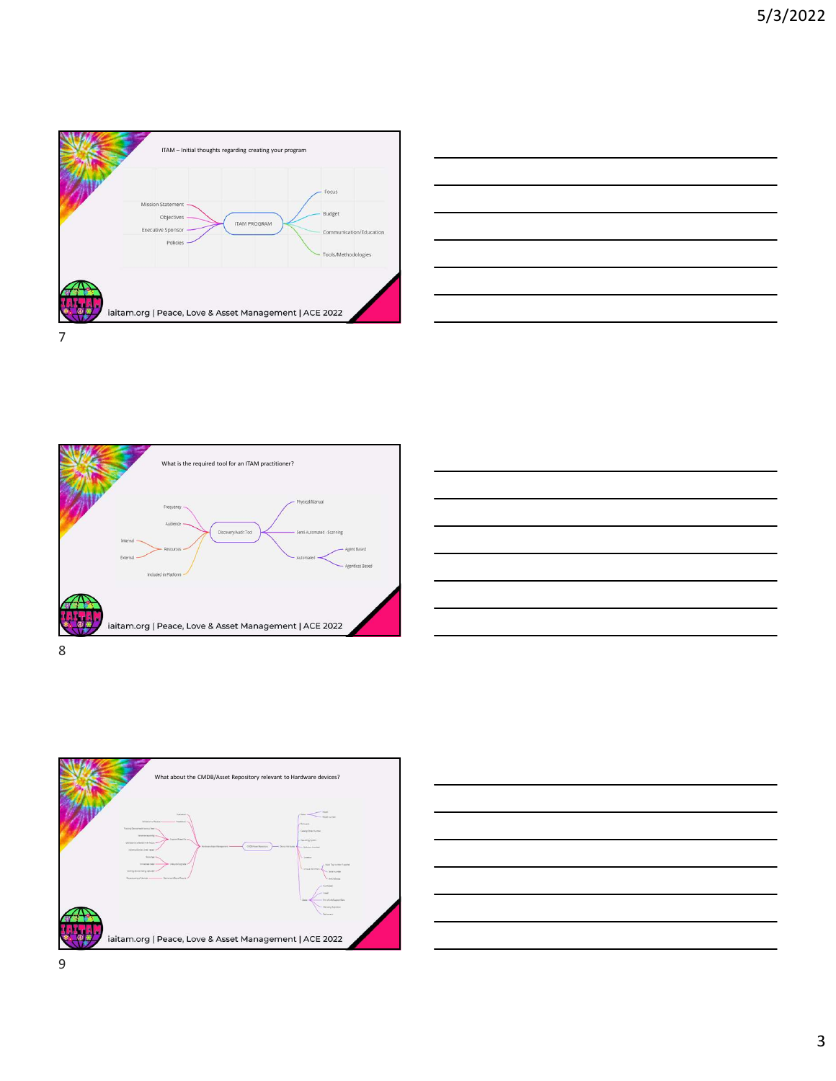









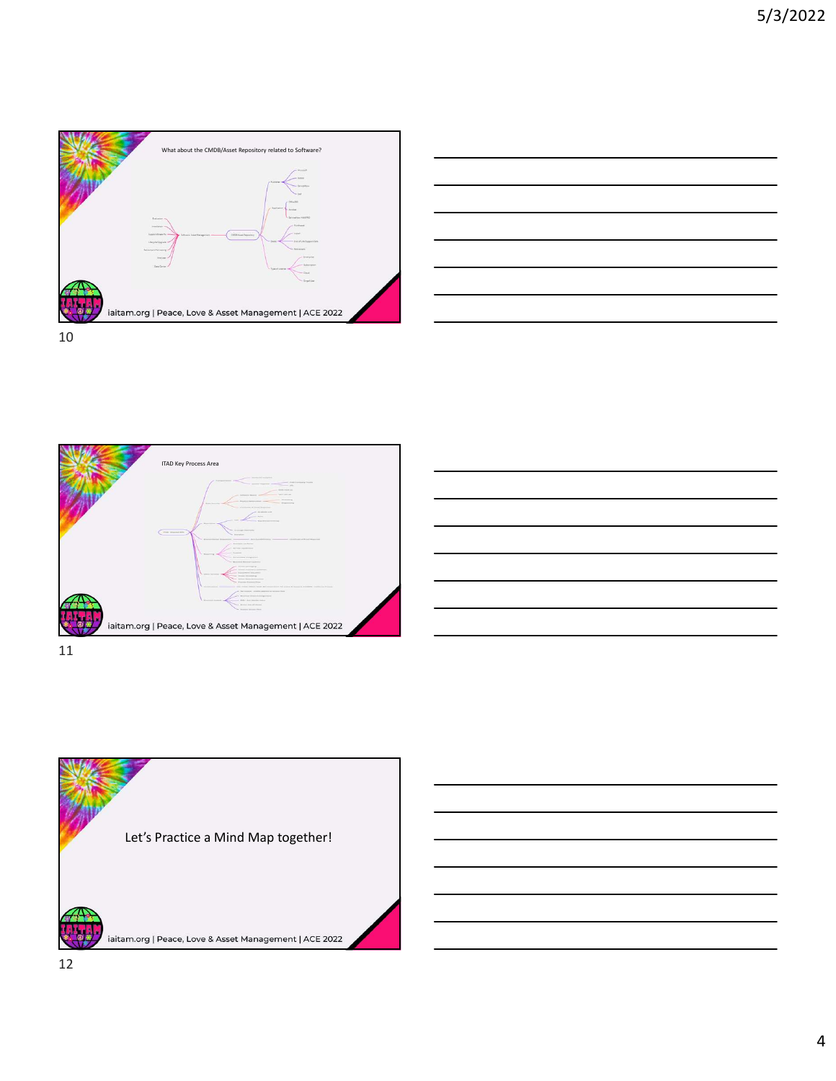